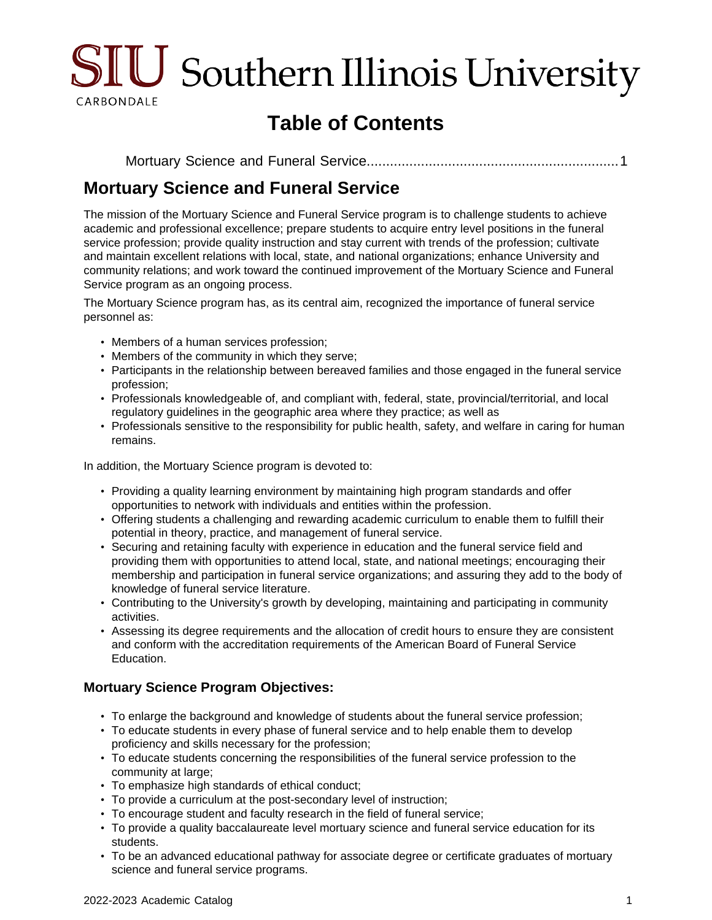

# **Table of Contents**

[Mortuary Science and Funeral Service.............................................................](#page-0-0)....1

# <span id="page-0-0"></span>**Mortuary Science and Funeral Service**

The mission of the Mortuary Science and Funeral Service program is to challenge students to achieve academic and professional excellence; prepare students to acquire entry level positions in the funeral service profession; provide quality instruction and stay current with trends of the profession; cultivate and maintain excellent relations with local, state, and national organizations; enhance University and community relations; and work toward the continued improvement of the Mortuary Science and Funeral Service program as an ongoing process.

The Mortuary Science program has, as its central aim, recognized the importance of funeral service personnel as:

- Members of a human services profession;
- Members of the community in which they serve;
- Participants in the relationship between bereaved families and those engaged in the funeral service profession;
- Professionals knowledgeable of, and compliant with, federal, state, provincial/territorial, and local regulatory guidelines in the geographic area where they practice; as well as
- Professionals sensitive to the responsibility for public health, safety, and welfare in caring for human remains.

In addition, the Mortuary Science program is devoted to:

- Providing a quality learning environment by maintaining high program standards and offer opportunities to network with individuals and entities within the profession.
- Offering students a challenging and rewarding academic curriculum to enable them to fulfill their potential in theory, practice, and management of funeral service.
- Securing and retaining faculty with experience in education and the funeral service field and providing them with opportunities to attend local, state, and national meetings; encouraging their membership and participation in funeral service organizations; and assuring they add to the body of knowledge of funeral service literature.
- Contributing to the University's growth by developing, maintaining and participating in community activities.
- Assessing its degree requirements and the allocation of credit hours to ensure they are consistent and conform with the accreditation requirements of the American Board of Funeral Service Education.

#### **Mortuary Science Program Objectives:**

- To enlarge the background and knowledge of students about the funeral service profession;
- To educate students in every phase of funeral service and to help enable them to develop proficiency and skills necessary for the profession;
- To educate students concerning the responsibilities of the funeral service profession to the community at large;
- To emphasize high standards of ethical conduct;
- To provide a curriculum at the post-secondary level of instruction;
- To encourage student and faculty research in the field of funeral service;
- To provide a quality baccalaureate level mortuary science and funeral service education for its students.
- To be an advanced educational pathway for associate degree or certificate graduates of mortuary science and funeral service programs.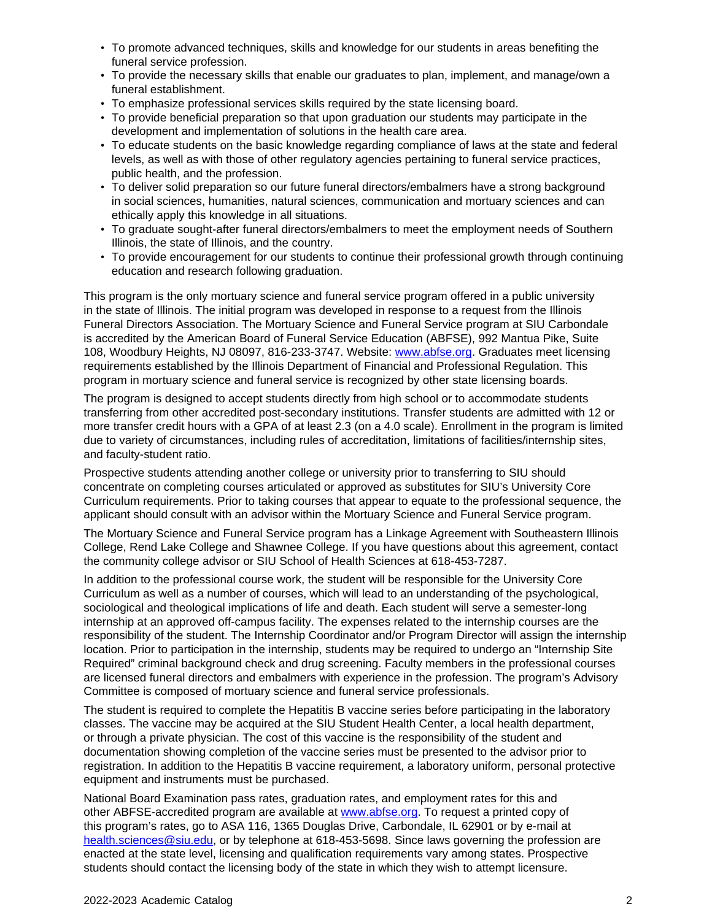- To promote advanced techniques, skills and knowledge for our students in areas benefiting the funeral service profession.
- To provide the necessary skills that enable our graduates to plan, implement, and manage/own a funeral establishment.
- To emphasize professional services skills required by the state licensing board.
- To provide beneficial preparation so that upon graduation our students may participate in the development and implementation of solutions in the health care area.
- To educate students on the basic knowledge regarding compliance of laws at the state and federal levels, as well as with those of other regulatory agencies pertaining to funeral service practices, public health, and the profession.
- To deliver solid preparation so our future funeral directors/embalmers have a strong background in social sciences, humanities, natural sciences, communication and mortuary sciences and can ethically apply this knowledge in all situations.
- To graduate sought-after funeral directors/embalmers to meet the employment needs of Southern Illinois, the state of Illinois, and the country.
- To provide encouragement for our students to continue their professional growth through continuing education and research following graduation.

This program is the only mortuary science and funeral service program offered in a public university in the state of Illinois. The initial program was developed in response to a request from the Illinois Funeral Directors Association. The Mortuary Science and Funeral Service program at SIU Carbondale is accredited by the American Board of Funeral Service Education (ABFSE), 992 Mantua Pike, Suite 108, Woodbury Heights, NJ 08097, 816-233-3747. Website: [www.abfse.org](http://www.abfse.org). Graduates meet licensing requirements established by the Illinois Department of Financial and Professional Regulation. This program in mortuary science and funeral service is recognized by other state licensing boards.

The program is designed to accept students directly from high school or to accommodate students transferring from other accredited post-secondary institutions. Transfer students are admitted with 12 or more transfer credit hours with a GPA of at least 2.3 (on a 4.0 scale). Enrollment in the program is limited due to variety of circumstances, including rules of accreditation, limitations of facilities/internship sites, and faculty-student ratio.

Prospective students attending another college or university prior to transferring to SIU should concentrate on completing courses articulated or approved as substitutes for SIU's University Core Curriculum requirements. Prior to taking courses that appear to equate to the professional sequence, the applicant should consult with an advisor within the Mortuary Science and Funeral Service program.

The Mortuary Science and Funeral Service program has a Linkage Agreement with Southeastern Illinois College, Rend Lake College and Shawnee College. If you have questions about this agreement, contact the community college advisor or SIU School of Health Sciences at 618-453-7287.

In addition to the professional course work, the student will be responsible for the University Core Curriculum as well as a number of courses, which will lead to an understanding of the psychological, sociological and theological implications of life and death. Each student will serve a semester-long internship at an approved off-campus facility. The expenses related to the internship courses are the responsibility of the student. The Internship Coordinator and/or Program Director will assign the internship location. Prior to participation in the internship, students may be required to undergo an "Internship Site Required" criminal background check and drug screening. Faculty members in the professional courses are licensed funeral directors and embalmers with experience in the profession. The program's Advisory Committee is composed of mortuary science and funeral service professionals.

The student is required to complete the Hepatitis B vaccine series before participating in the laboratory classes. The vaccine may be acquired at the SIU Student Health Center, a local health department, or through a private physician. The cost of this vaccine is the responsibility of the student and documentation showing completion of the vaccine series must be presented to the advisor prior to registration. In addition to the Hepatitis B vaccine requirement, a laboratory uniform, personal protective equipment and instruments must be purchased.

National Board Examination pass rates, graduation rates, and employment rates for this and other ABFSE-accredited program are available at [www.abfse.org](http://www.abfse.org/). To request a printed copy of this program's rates, go to ASA 116, 1365 Douglas Drive, Carbondale, IL 62901 or by e-mail at [health.sciences@siu.edu](mailto:health.sciences@siu.edu), or by telephone at 618-453-5698. Since laws governing the profession are enacted at the state level, licensing and qualification requirements vary among states. Prospective students should contact the licensing body of the state in which they wish to attempt licensure.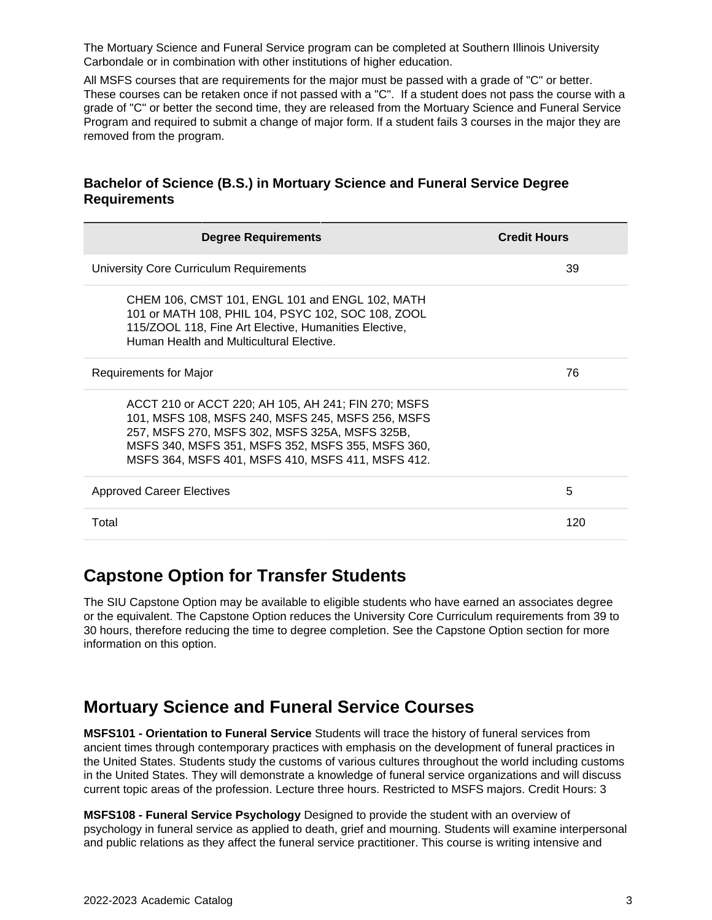The Mortuary Science and Funeral Service program can be completed at Southern Illinois University Carbondale or in combination with other institutions of higher education.

All MSFS courses that are requirements for the major must be passed with a grade of "C" or better. These courses can be retaken once if not passed with a "C". If a student does not pass the course with a grade of "C" or better the second time, they are released from the Mortuary Science and Funeral Service Program and required to submit a change of major form. If a student fails 3 courses in the major they are removed from the program.

#### **Bachelor of Science (B.S.) in Mortuary Science and Funeral Service Degree Requirements**

| <b>Degree Requirements</b>                                                                                                                                                                                                                                           | <b>Credit Hours</b> |
|----------------------------------------------------------------------------------------------------------------------------------------------------------------------------------------------------------------------------------------------------------------------|---------------------|
| University Core Curriculum Requirements                                                                                                                                                                                                                              | 39                  |
| CHEM 106, CMST 101, ENGL 101 and ENGL 102, MATH<br>101 or MATH 108, PHIL 104, PSYC 102, SOC 108, ZOOL<br>115/ZOOL 118, Fine Art Elective, Humanities Elective,<br>Human Health and Multicultural Elective.                                                           |                     |
| Requirements for Major                                                                                                                                                                                                                                               | 76                  |
| ACCT 210 or ACCT 220; AH 105, AH 241; FIN 270; MSFS<br>101, MSFS 108, MSFS 240, MSFS 245, MSFS 256, MSFS<br>257, MSFS 270, MSFS 302, MSFS 325A, MSFS 325B,<br>MSFS 340, MSFS 351, MSFS 352, MSFS 355, MSFS 360,<br>MSFS 364, MSFS 401, MSFS 410, MSFS 411, MSFS 412. |                     |
| <b>Approved Career Electives</b>                                                                                                                                                                                                                                     | 5                   |
| Total                                                                                                                                                                                                                                                                | 120                 |

## **Capstone Option for Transfer Students**

The SIU Capstone Option may be available to eligible students who have earned an associates degree or the equivalent. The Capstone Option reduces the University Core Curriculum requirements from 39 to 30 hours, therefore reducing the time to degree completion. See the Capstone Option section for more information on this option.

### **Mortuary Science and Funeral Service Courses**

**MSFS101 - Orientation to Funeral Service** Students will trace the history of funeral services from ancient times through contemporary practices with emphasis on the development of funeral practices in the United States. Students study the customs of various cultures throughout the world including customs in the United States. They will demonstrate a knowledge of funeral service organizations and will discuss current topic areas of the profession. Lecture three hours. Restricted to MSFS majors. Credit Hours: 3

**MSFS108 - Funeral Service Psychology** Designed to provide the student with an overview of psychology in funeral service as applied to death, grief and mourning. Students will examine interpersonal and public relations as they affect the funeral service practitioner. This course is writing intensive and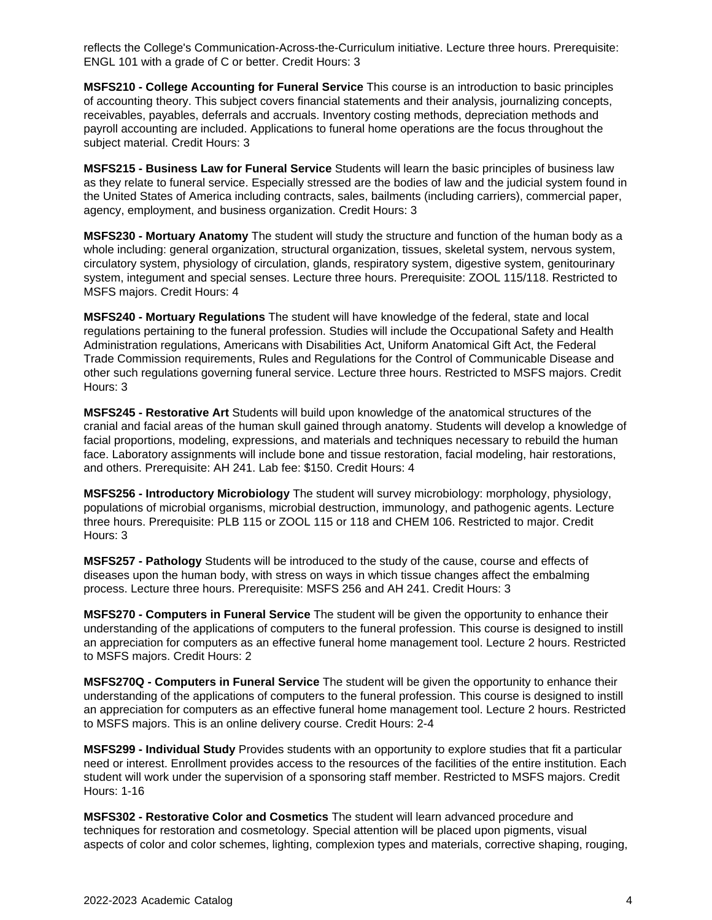reflects the College's Communication-Across-the-Curriculum initiative. Lecture three hours. Prerequisite: ENGL 101 with a grade of C or better. Credit Hours: 3

**MSFS210 - College Accounting for Funeral Service** This course is an introduction to basic principles of accounting theory. This subject covers financial statements and their analysis, journalizing concepts, receivables, payables, deferrals and accruals. Inventory costing methods, depreciation methods and payroll accounting are included. Applications to funeral home operations are the focus throughout the subject material. Credit Hours: 3

**MSFS215 - Business Law for Funeral Service** Students will learn the basic principles of business law as they relate to funeral service. Especially stressed are the bodies of law and the judicial system found in the United States of America including contracts, sales, bailments (including carriers), commercial paper, agency, employment, and business organization. Credit Hours: 3

**MSFS230 - Mortuary Anatomy** The student will study the structure and function of the human body as a whole including: general organization, structural organization, tissues, skeletal system, nervous system, circulatory system, physiology of circulation, glands, respiratory system, digestive system, genitourinary system, integument and special senses. Lecture three hours. Prerequisite: ZOOL 115/118. Restricted to MSFS majors. Credit Hours: 4

**MSFS240 - Mortuary Regulations** The student will have knowledge of the federal, state and local regulations pertaining to the funeral profession. Studies will include the Occupational Safety and Health Administration regulations, Americans with Disabilities Act, Uniform Anatomical Gift Act, the Federal Trade Commission requirements, Rules and Regulations for the Control of Communicable Disease and other such regulations governing funeral service. Lecture three hours. Restricted to MSFS majors. Credit Hours: 3

**MSFS245 - Restorative Art** Students will build upon knowledge of the anatomical structures of the cranial and facial areas of the human skull gained through anatomy. Students will develop a knowledge of facial proportions, modeling, expressions, and materials and techniques necessary to rebuild the human face. Laboratory assignments will include bone and tissue restoration, facial modeling, hair restorations, and others. Prerequisite: AH 241. Lab fee: \$150. Credit Hours: 4

**MSFS256 - Introductory Microbiology** The student will survey microbiology: morphology, physiology, populations of microbial organisms, microbial destruction, immunology, and pathogenic agents. Lecture three hours. Prerequisite: PLB 115 or ZOOL 115 or 118 and CHEM 106. Restricted to major. Credit Hours: 3

**MSFS257 - Pathology** Students will be introduced to the study of the cause, course and effects of diseases upon the human body, with stress on ways in which tissue changes affect the embalming process. Lecture three hours. Prerequisite: MSFS 256 and AH 241. Credit Hours: 3

**MSFS270 - Computers in Funeral Service** The student will be given the opportunity to enhance their understanding of the applications of computers to the funeral profession. This course is designed to instill an appreciation for computers as an effective funeral home management tool. Lecture 2 hours. Restricted to MSFS majors. Credit Hours: 2

**MSFS270Q - Computers in Funeral Service** The student will be given the opportunity to enhance their understanding of the applications of computers to the funeral profession. This course is designed to instill an appreciation for computers as an effective funeral home management tool. Lecture 2 hours. Restricted to MSFS majors. This is an online delivery course. Credit Hours: 2-4

**MSFS299 - Individual Study** Provides students with an opportunity to explore studies that fit a particular need or interest. Enrollment provides access to the resources of the facilities of the entire institution. Each student will work under the supervision of a sponsoring staff member. Restricted to MSFS majors. Credit Hours: 1-16

**MSFS302 - Restorative Color and Cosmetics** The student will learn advanced procedure and techniques for restoration and cosmetology. Special attention will be placed upon pigments, visual aspects of color and color schemes, lighting, complexion types and materials, corrective shaping, rouging,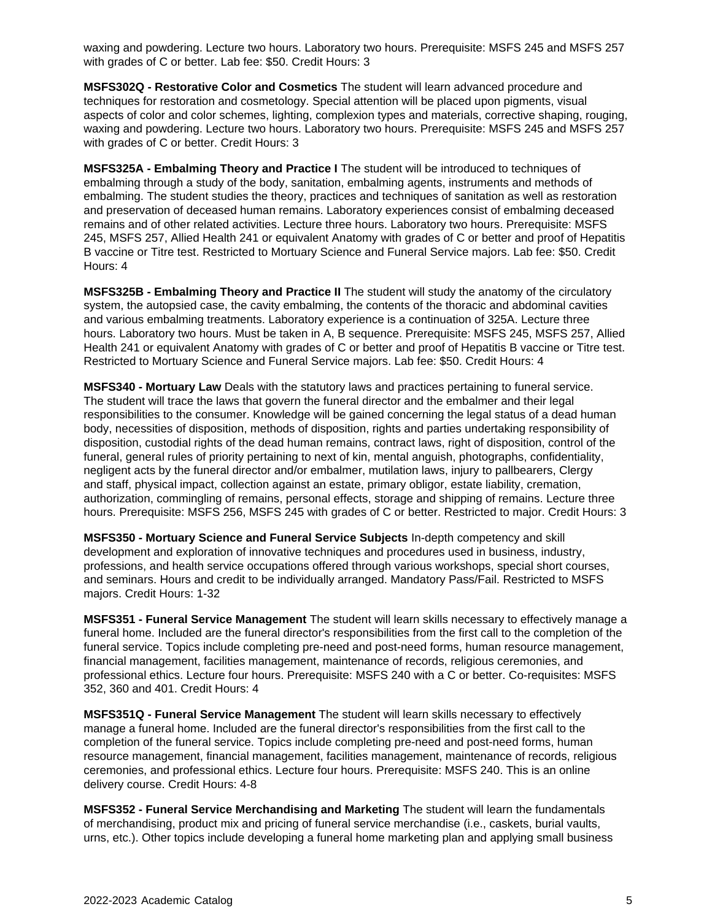waxing and powdering. Lecture two hours. Laboratory two hours. Prerequisite: MSFS 245 and MSFS 257 with grades of C or better. Lab fee: \$50. Credit Hours: 3

**MSFS302Q - Restorative Color and Cosmetics** The student will learn advanced procedure and techniques for restoration and cosmetology. Special attention will be placed upon pigments, visual aspects of color and color schemes, lighting, complexion types and materials, corrective shaping, rouging, waxing and powdering. Lecture two hours. Laboratory two hours. Prerequisite: MSFS 245 and MSFS 257 with grades of C or better. Credit Hours: 3

**MSFS325A - Embalming Theory and Practice I** The student will be introduced to techniques of embalming through a study of the body, sanitation, embalming agents, instruments and methods of embalming. The student studies the theory, practices and techniques of sanitation as well as restoration and preservation of deceased human remains. Laboratory experiences consist of embalming deceased remains and of other related activities. Lecture three hours. Laboratory two hours. Prerequisite: MSFS 245, MSFS 257, Allied Health 241 or equivalent Anatomy with grades of C or better and proof of Hepatitis B vaccine or Titre test. Restricted to Mortuary Science and Funeral Service majors. Lab fee: \$50. Credit Hours: 4

**MSFS325B - Embalming Theory and Practice II** The student will study the anatomy of the circulatory system, the autopsied case, the cavity embalming, the contents of the thoracic and abdominal cavities and various embalming treatments. Laboratory experience is a continuation of 325A. Lecture three hours. Laboratory two hours. Must be taken in A, B sequence. Prerequisite: MSFS 245, MSFS 257, Allied Health 241 or equivalent Anatomy with grades of C or better and proof of Hepatitis B vaccine or Titre test. Restricted to Mortuary Science and Funeral Service majors. Lab fee: \$50. Credit Hours: 4

**MSFS340 - Mortuary Law** Deals with the statutory laws and practices pertaining to funeral service. The student will trace the laws that govern the funeral director and the embalmer and their legal responsibilities to the consumer. Knowledge will be gained concerning the legal status of a dead human body, necessities of disposition, methods of disposition, rights and parties undertaking responsibility of disposition, custodial rights of the dead human remains, contract laws, right of disposition, control of the funeral, general rules of priority pertaining to next of kin, mental anguish, photographs, confidentiality, negligent acts by the funeral director and/or embalmer, mutilation laws, injury to pallbearers, Clergy and staff, physical impact, collection against an estate, primary obligor, estate liability, cremation, authorization, commingling of remains, personal effects, storage and shipping of remains. Lecture three hours. Prerequisite: MSFS 256, MSFS 245 with grades of C or better. Restricted to major. Credit Hours: 3

**MSFS350 - Mortuary Science and Funeral Service Subjects** In-depth competency and skill development and exploration of innovative techniques and procedures used in business, industry, professions, and health service occupations offered through various workshops, special short courses, and seminars. Hours and credit to be individually arranged. Mandatory Pass/Fail. Restricted to MSFS majors. Credit Hours: 1-32

**MSFS351 - Funeral Service Management** The student will learn skills necessary to effectively manage a funeral home. Included are the funeral director's responsibilities from the first call to the completion of the funeral service. Topics include completing pre-need and post-need forms, human resource management, financial management, facilities management, maintenance of records, religious ceremonies, and professional ethics. Lecture four hours. Prerequisite: MSFS 240 with a C or better. Co-requisites: MSFS 352, 360 and 401. Credit Hours: 4

**MSFS351Q - Funeral Service Management** The student will learn skills necessary to effectively manage a funeral home. Included are the funeral director's responsibilities from the first call to the completion of the funeral service. Topics include completing pre-need and post-need forms, human resource management, financial management, facilities management, maintenance of records, religious ceremonies, and professional ethics. Lecture four hours. Prerequisite: MSFS 240. This is an online delivery course. Credit Hours: 4-8

**MSFS352 - Funeral Service Merchandising and Marketing** The student will learn the fundamentals of merchandising, product mix and pricing of funeral service merchandise (i.e., caskets, burial vaults, urns, etc.). Other topics include developing a funeral home marketing plan and applying small business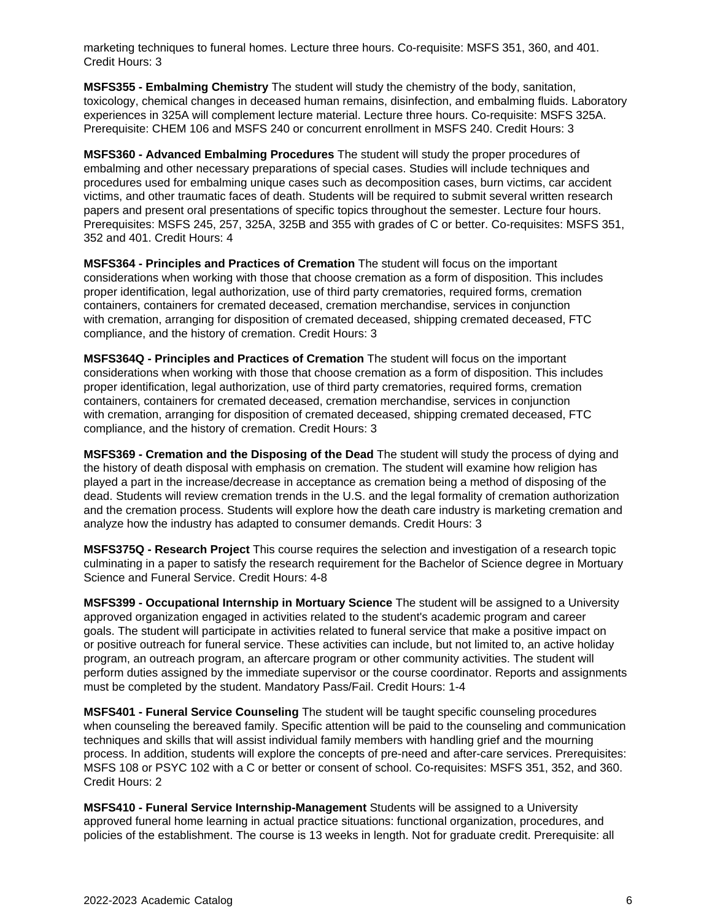marketing techniques to funeral homes. Lecture three hours. Co-requisite: MSFS 351, 360, and 401. Credit Hours: 3

**MSFS355 - Embalming Chemistry** The student will study the chemistry of the body, sanitation, toxicology, chemical changes in deceased human remains, disinfection, and embalming fluids. Laboratory experiences in 325A will complement lecture material. Lecture three hours. Co-requisite: MSFS 325A. Prerequisite: CHEM 106 and MSFS 240 or concurrent enrollment in MSFS 240. Credit Hours: 3

**MSFS360 - Advanced Embalming Procedures** The student will study the proper procedures of embalming and other necessary preparations of special cases. Studies will include techniques and procedures used for embalming unique cases such as decomposition cases, burn victims, car accident victims, and other traumatic faces of death. Students will be required to submit several written research papers and present oral presentations of specific topics throughout the semester. Lecture four hours. Prerequisites: MSFS 245, 257, 325A, 325B and 355 with grades of C or better. Co-requisites: MSFS 351, 352 and 401. Credit Hours: 4

**MSFS364 - Principles and Practices of Cremation** The student will focus on the important considerations when working with those that choose cremation as a form of disposition. This includes proper identification, legal authorization, use of third party crematories, required forms, cremation containers, containers for cremated deceased, cremation merchandise, services in conjunction with cremation, arranging for disposition of cremated deceased, shipping cremated deceased, FTC compliance, and the history of cremation. Credit Hours: 3

**MSFS364Q - Principles and Practices of Cremation** The student will focus on the important considerations when working with those that choose cremation as a form of disposition. This includes proper identification, legal authorization, use of third party crematories, required forms, cremation containers, containers for cremated deceased, cremation merchandise, services in conjunction with cremation, arranging for disposition of cremated deceased, shipping cremated deceased, FTC compliance, and the history of cremation. Credit Hours: 3

**MSFS369 - Cremation and the Disposing of the Dead** The student will study the process of dying and the history of death disposal with emphasis on cremation. The student will examine how religion has played a part in the increase/decrease in acceptance as cremation being a method of disposing of the dead. Students will review cremation trends in the U.S. and the legal formality of cremation authorization and the cremation process. Students will explore how the death care industry is marketing cremation and analyze how the industry has adapted to consumer demands. Credit Hours: 3

**MSFS375Q - Research Project** This course requires the selection and investigation of a research topic culminating in a paper to satisfy the research requirement for the Bachelor of Science degree in Mortuary Science and Funeral Service. Credit Hours: 4-8

**MSFS399 - Occupational Internship in Mortuary Science** The student will be assigned to a University approved organization engaged in activities related to the student's academic program and career goals. The student will participate in activities related to funeral service that make a positive impact on or positive outreach for funeral service. These activities can include, but not limited to, an active holiday program, an outreach program, an aftercare program or other community activities. The student will perform duties assigned by the immediate supervisor or the course coordinator. Reports and assignments must be completed by the student. Mandatory Pass/Fail. Credit Hours: 1-4

**MSFS401 - Funeral Service Counseling** The student will be taught specific counseling procedures when counseling the bereaved family. Specific attention will be paid to the counseling and communication techniques and skills that will assist individual family members with handling grief and the mourning process. In addition, students will explore the concepts of pre-need and after-care services. Prerequisites: MSFS 108 or PSYC 102 with a C or better or consent of school. Co-requisites: MSFS 351, 352, and 360. Credit Hours: 2

**MSFS410 - Funeral Service Internship-Management** Students will be assigned to a University approved funeral home learning in actual practice situations: functional organization, procedures, and policies of the establishment. The course is 13 weeks in length. Not for graduate credit. Prerequisite: all